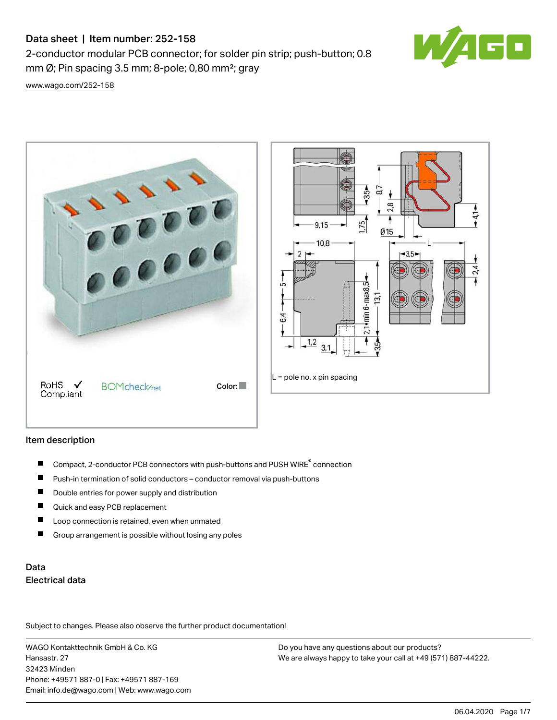# Data sheet | Item number: 252-158

2-conductor modular PCB connector; for solder pin strip; push-button; 0.8 mm  $\varnothing$ ; Pin spacing 3.5 mm; 8-pole; 0,80 mm<sup>2</sup>; gray



[www.wago.com/252-158](http://www.wago.com/252-158)



## Item description

- Compact, 2-conductor PCB connectors with push-buttons and PUSH WIRE<sup>®</sup> connection  $\blacksquare$
- Push-in termination of solid conductors conductor removal via push-buttons П
- П Double entries for power supply and distribution
- $\blacksquare$ Quick and easy PCB replacement
- $\blacksquare$ Loop connection is retained, even when unmated
- П Group arrangement is possible without losing any poles

# Data Electrical data

Subject to changes. Please also observe the further product documentation!

WAGO Kontakttechnik GmbH & Co. KG Hansastr. 27 32423 Minden Phone: +49571 887-0 | Fax: +49571 887-169 Email: info.de@wago.com | Web: www.wago.com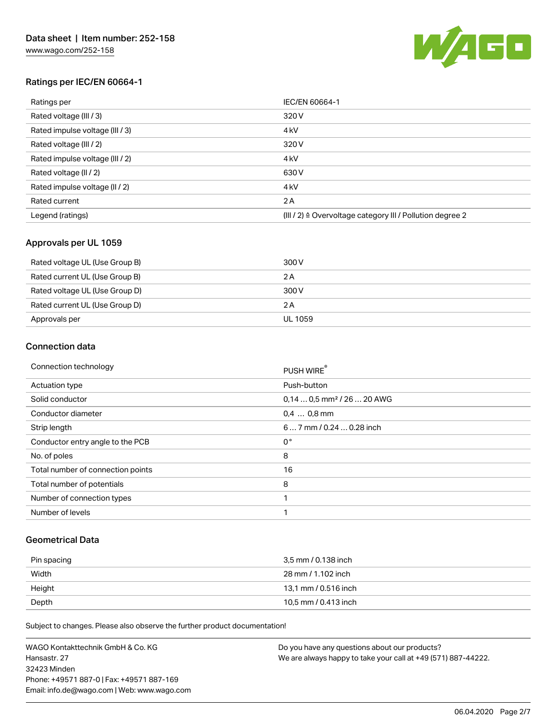

## Ratings per IEC/EN 60664-1

| Ratings per                     | IEC/EN 60664-1                                            |
|---------------------------------|-----------------------------------------------------------|
| Rated voltage (III / 3)         | 320 V                                                     |
| Rated impulse voltage (III / 3) | 4 <sub>kV</sub>                                           |
| Rated voltage (III / 2)         | 320 V                                                     |
| Rated impulse voltage (III / 2) | 4 <sub>kV</sub>                                           |
| Rated voltage (II / 2)          | 630 V                                                     |
| Rated impulse voltage (II / 2)  | 4 <sub>k</sub> V                                          |
| Rated current                   | 2 A                                                       |
| Legend (ratings)                | (III / 2) ≙ Overvoltage category III / Pollution degree 2 |

## Approvals per UL 1059

| Rated voltage UL (Use Group B) | 300 V   |
|--------------------------------|---------|
| Rated current UL (Use Group B) | 2 A     |
| Rated voltage UL (Use Group D) | 300 V   |
| Rated current UL (Use Group D) | 2 A     |
| Approvals per                  | UL 1059 |

### Connection data

| Connection technology             | PUSH WIRE                              |  |
|-----------------------------------|----------------------------------------|--|
| <b>Actuation type</b>             | Push-button                            |  |
| Solid conductor                   | $0.140.5$ mm <sup>2</sup> / 26  20 AWG |  |
| Conductor diameter                | $0.4$ 0.8 mm                           |  |
| Strip length                      | 6 7 mm / 0.24  0.28 inch               |  |
| Conductor entry angle to the PCB  | $0^{\circ}$                            |  |
| No. of poles                      | 8                                      |  |
| Total number of connection points | 16                                     |  |
| Total number of potentials        | 8                                      |  |
| Number of connection types        | 1                                      |  |
| Number of levels                  | 1                                      |  |

#### Geometrical Data

| Pin spacing | 3.5 mm / 0.138 inch  |
|-------------|----------------------|
| Width       | 28 mm / 1.102 inch   |
| Height      | 13.1 mm / 0.516 inch |
| Depth       | 10,5 mm / 0.413 inch |

Subject to changes. Please also observe the further product documentation!

WAGO Kontakttechnik GmbH & Co. KG Hansastr. 27 32423 Minden Phone: +49571 887-0 | Fax: +49571 887-169 Email: info.de@wago.com | Web: www.wago.com Do you have any questions about our products? We are always happy to take your call at +49 (571) 887-44222.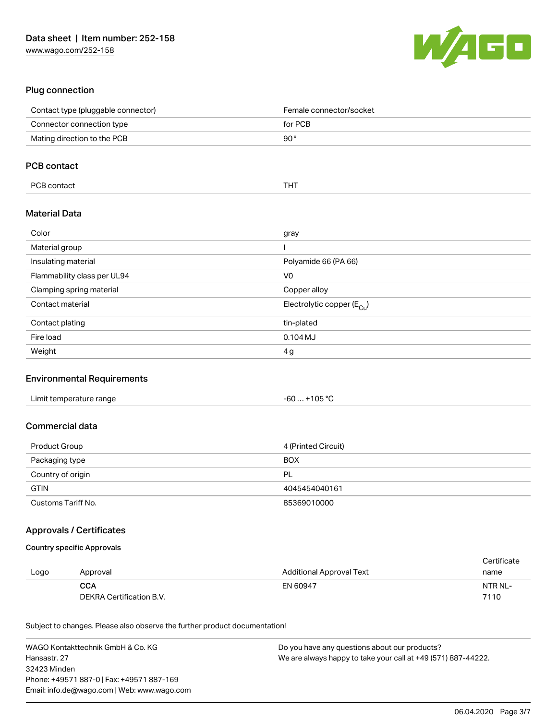

## Plug connection

| Contact type (pluggable connector) | Female connector/socket                |
|------------------------------------|----------------------------------------|
| Connector connection type          | for PCB                                |
| Mating direction to the PCB        | $90^{\circ}$                           |
|                                    |                                        |
| <b>PCB contact</b>                 |                                        |
| PCB contact                        | <b>THT</b>                             |
| <b>Material Data</b>               |                                        |
| Color                              | gray                                   |
| Material group                     |                                        |
| Insulating material                | Polyamide 66 (PA 66)                   |
| Flammability class per UL94        | V <sub>0</sub>                         |
| Clamping spring material           | Copper alloy                           |
| Contact material                   | Electrolytic copper (E <sub>Cu</sub> ) |
| Contact plating                    | tin-plated                             |
| Fire load                          | $0.104$ MJ                             |
| Weight                             | 4 g                                    |

#### Environmental Requirements

| Limit temperature range | . +105 °C<br>-60 |
|-------------------------|------------------|
|-------------------------|------------------|

## Commercial data

| Product Group      | 4 (Printed Circuit) |
|--------------------|---------------------|
| Packaging type     | <b>BOX</b>          |
| Country of origin  | <b>PL</b>           |
| <b>GTIN</b>        | 4045454040161       |
| Customs Tariff No. | 85369010000         |

### Approvals / Certificates

#### Country specific Approvals

|      |                          |                          | Certificate |
|------|--------------------------|--------------------------|-------------|
| Logo | Approval                 | Additional Approval Text | name        |
|      | <b>CCA</b>               | EN 60947                 | NTR NL-     |
|      | DEKRA Certification B.V. |                          | 7110        |

Subject to changes. Please also observe the further product documentation!

| WAGO Kontakttechnik GmbH & Co. KG           | Do you have any questions about our products?                 |
|---------------------------------------------|---------------------------------------------------------------|
| Hansastr. 27                                | We are always happy to take your call at +49 (571) 887-44222. |
| 32423 Minden                                |                                                               |
| Phone: +49571 887-0   Fax: +49571 887-169   |                                                               |
| Email: info.de@wago.com   Web: www.wago.com |                                                               |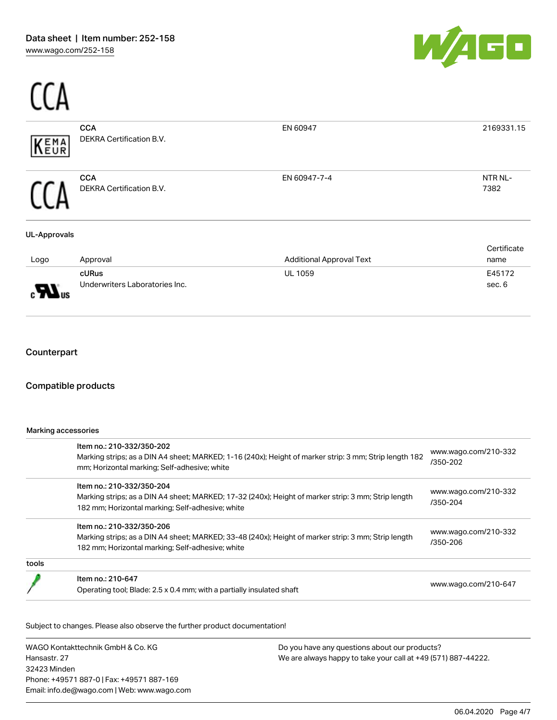$C<sub>0</sub>$ 



| EMA<br>EUR               | <b>CCA</b><br>DEKRA Certification B.V.  | EN 60947                        | 2169331.15          |
|--------------------------|-----------------------------------------|---------------------------------|---------------------|
|                          | <b>CCA</b><br>DEKRA Certification B.V.  | EN 60947-7-4                    | NTR NL-<br>7382     |
| <b>UL-Approvals</b>      |                                         |                                 |                     |
| Logo                     | Approval                                | <b>Additional Approval Text</b> | Certificate<br>name |
| $\mathbf{H}_{\text{us}}$ | cURus<br>Underwriters Laboratories Inc. | UL 1059                         | E45172<br>sec. 6    |
|                          |                                         |                                 |                     |

## Compatible products

Marking accessories

|       | Item no.: 210-332/350-202<br>Marking strips; as a DIN A4 sheet; MARKED; 1-16 (240x); Height of marker strip: 3 mm; Strip length 182 | www.wago.com/210-332<br>/350-202 |  |
|-------|-------------------------------------------------------------------------------------------------------------------------------------|----------------------------------|--|
|       | mm; Horizontal marking; Self-adhesive; white<br>Item no.: 210-332/350-204                                                           |                                  |  |
|       | Marking strips; as a DIN A4 sheet; MARKED; 17-32 (240x); Height of marker strip: 3 mm; Strip length                                 | www.wago.com/210-332<br>/350-204 |  |
|       | 182 mm; Horizontal marking; Self-adhesive; white                                                                                    |                                  |  |
|       | Item no.: 210-332/350-206                                                                                                           |                                  |  |
|       | Marking strips; as a DIN A4 sheet; MARKED; 33-48 (240x); Height of marker strip: 3 mm; Strip length                                 | www.wago.com/210-332<br>/350-206 |  |
|       | 182 mm; Horizontal marking; Self-adhesive; white                                                                                    |                                  |  |
| tools |                                                                                                                                     |                                  |  |
|       | Item no.: 210-647                                                                                                                   |                                  |  |
|       | Operating tool; Blade: 2.5 x 0.4 mm; with a partially insulated shaft                                                               | www.wago.com/210-647             |  |

Subject to changes. Please also observe the further product documentation!

WAGO Kontakttechnik GmbH & Co. KG Hansastr. 27 32423 Minden Phone: +49571 887-0 | Fax: +49571 887-169 Email: info.de@wago.com | Web: www.wago.com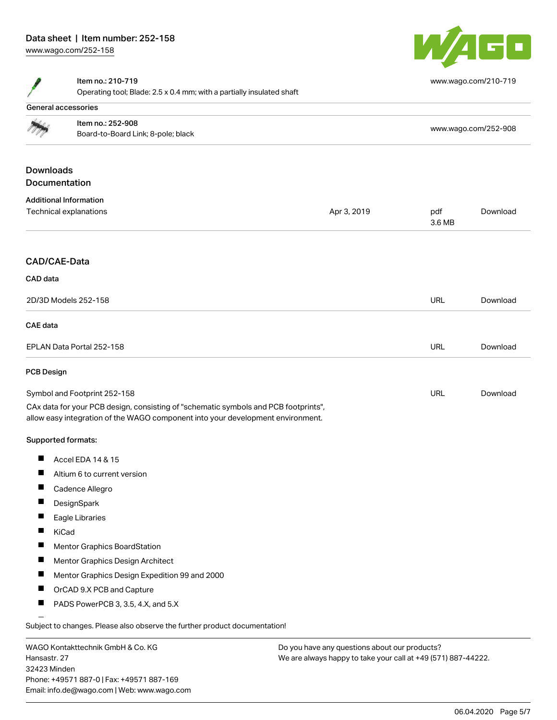# Data sheet | Item number: 252-158

[www.wago.com/252-158](http://www.wago.com/252-158)



[www.wago.com/210-719](http://www.wago.com/210-719)



#### Item no.: 210-719

Operating tool; Blade: 2.5 x 0.4 mm; with a partially insulated shaft

|                   | General accessories                                                                                                                                                    |                                               |               |                      |
|-------------------|------------------------------------------------------------------------------------------------------------------------------------------------------------------------|-----------------------------------------------|---------------|----------------------|
|                   | Item no.: 252-908                                                                                                                                                      |                                               |               | www.wago.com/252-908 |
|                   | Board-to-Board Link; 8-pole; black                                                                                                                                     |                                               |               |                      |
| <b>Downloads</b>  |                                                                                                                                                                        |                                               |               |                      |
| Documentation     |                                                                                                                                                                        |                                               |               |                      |
|                   | <b>Additional Information</b>                                                                                                                                          |                                               |               |                      |
|                   | Technical explanations                                                                                                                                                 | Apr 3, 2019                                   | pdf<br>3.6 MB | Download             |
| CAD/CAE-Data      |                                                                                                                                                                        |                                               |               |                      |
| CAD data          |                                                                                                                                                                        |                                               |               |                      |
|                   | 2D/3D Models 252-158                                                                                                                                                   |                                               | <b>URL</b>    | Download             |
|                   |                                                                                                                                                                        |                                               |               |                      |
| <b>CAE</b> data   |                                                                                                                                                                        |                                               |               |                      |
|                   | EPLAN Data Portal 252-158                                                                                                                                              |                                               | <b>URL</b>    | Download             |
| <b>PCB Design</b> |                                                                                                                                                                        |                                               |               |                      |
|                   | Symbol and Footprint 252-158                                                                                                                                           |                                               | URL           | Download             |
|                   | CAx data for your PCB design, consisting of "schematic symbols and PCB footprints",<br>allow easy integration of the WAGO component into your development environment. |                                               |               |                      |
|                   | <b>Supported formats:</b>                                                                                                                                              |                                               |               |                      |
| П                 | Accel EDA 14 & 15                                                                                                                                                      |                                               |               |                      |
| $\blacksquare$    | Altium 6 to current version                                                                                                                                            |                                               |               |                      |
| H                 | Cadence Allegro                                                                                                                                                        |                                               |               |                      |
| H                 | DesignSpark                                                                                                                                                            |                                               |               |                      |
| ш                 | Eagle Libraries                                                                                                                                                        |                                               |               |                      |
|                   | KiCad                                                                                                                                                                  |                                               |               |                      |
| ш                 | Mentor Graphics BoardStation                                                                                                                                           |                                               |               |                      |
| ш                 | Mentor Graphics Design Architect                                                                                                                                       |                                               |               |                      |
| ш                 | Mentor Graphics Design Expedition 99 and 2000                                                                                                                          |                                               |               |                      |
| П                 | OrCAD 9.X PCB and Capture                                                                                                                                              |                                               |               |                      |
| ш                 | PADS PowerPCB 3, 3.5, 4.X, and 5.X                                                                                                                                     |                                               |               |                      |
|                   | Subject to changes. Please also observe the further product documentation!                                                                                             |                                               |               |                      |
|                   | WAGO Kontakttechnik GmbH & Co. KG                                                                                                                                      | Do you have any questions about our products? |               |                      |

Hansastr. 27 32423 Minden Phone: +49571 887-0 | Fax: +49571 887-169 Email: info.de@wago.com | Web: www.wago.com We are always happy to take your call at +49 (571) 887-44222.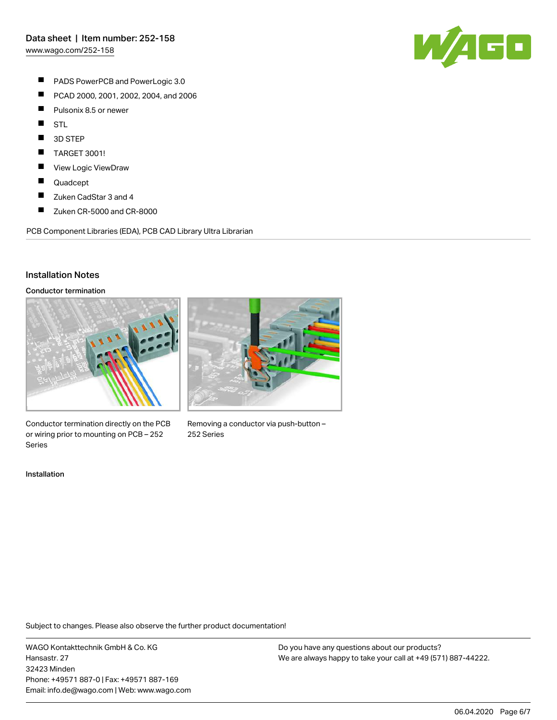

- $\blacksquare$ PADS PowerPCB and PowerLogic 3.0
- $\blacksquare$ PCAD 2000, 2001, 2002, 2004, and 2006
- $\blacksquare$ Pulsonix 8.5 or newer
- $\blacksquare$ STL
- П 3D STEP
- П TARGET 3001!
- $\blacksquare$ View Logic ViewDraw
- $\blacksquare$ Quadcept
- $\blacksquare$ Zuken CadStar 3 and 4
- $\blacksquare$ Zuken CR-5000 and CR-8000

PCB Component Libraries (EDA), PCB CAD Library Ultra Librarian

### Installation Notes

#### Conductor termination



Conductor termination directly on the PCB or wiring prior to mounting on PCB – 252 Series



Removing a conductor via push-button – 252 Series

#### Installation

Subject to changes. Please also observe the further product documentation!

WAGO Kontakttechnik GmbH & Co. KG Hansastr. 27 32423 Minden Phone: +49571 887-0 | Fax: +49571 887-169 Email: info.de@wago.com | Web: www.wago.com